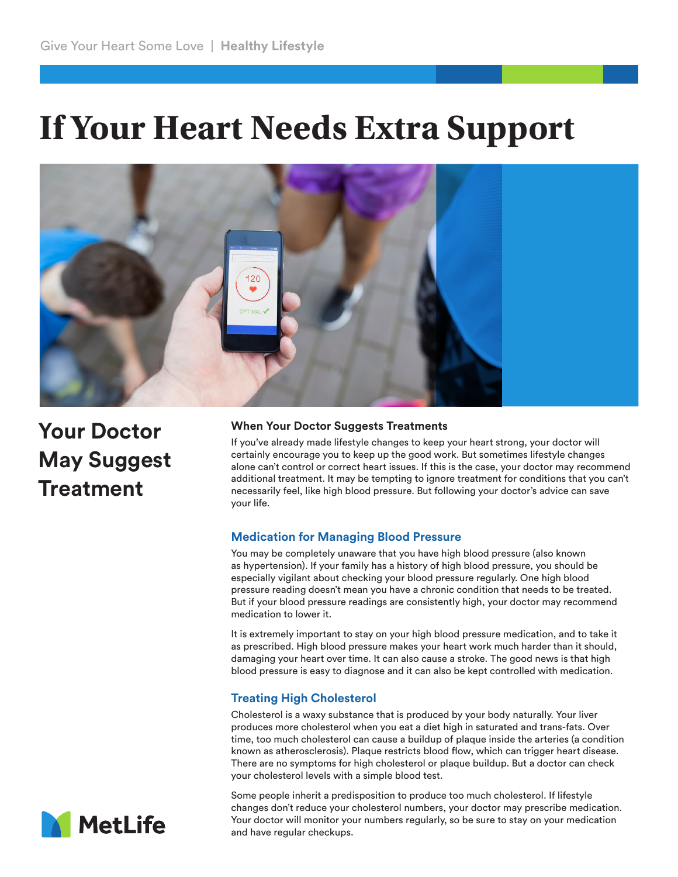# **If Your Heart Needs Extra Support**



**Your Doctor May Suggest Treatment**

#### **When Your Doctor Suggests Treatments**

If you've already made lifestyle changes to keep your heart strong, your doctor will certainly encourage you to keep up the good work. But sometimes lifestyle changes alone can't control or correct heart issues. If this is the case, your doctor may recommend additional treatment. It may be tempting to ignore treatment for conditions that you can't necessarily feel, like high blood pressure. But following your doctor's advice can save your life.

### **Medication for Managing Blood Pressure**

You may be completely unaware that you have high blood pressure (also known as hypertension). If your family has a history of high blood pressure, you should be especially vigilant about checking your blood pressure regularly. One high blood pressure reading doesn't mean you have a chronic condition that needs to be treated. But if your blood pressure readings are consistently high, your doctor may recommend medication to lower it.

It is extremely important to stay on your high blood pressure medication, and to take it as prescribed. High blood pressure makes your heart work much harder than it should, damaging your heart over time. It can also cause a stroke. The good news is that high blood pressure is easy to diagnose and it can also be kept controlled with medication.

## **Treating High Cholesterol**

Cholesterol is a waxy substance that is produced by your body naturally. Your liver produces more cholesterol when you eat a diet high in saturated and trans-fats. Over time, too much cholesterol can cause a buildup of plaque inside the arteries (a condition known as atherosclerosis). Plaque restricts blood flow, which can trigger heart disease. There are no symptoms for high cholesterol or plaque buildup. But a doctor can check your cholesterol levels with a simple blood test.

Some people inherit a predisposition to produce too much cholesterol. If lifestyle changes don't reduce your cholesterol numbers, your doctor may prescribe medication. Your doctor will monitor your numbers regularly, so be sure to stay on your medication and have regular checkups.